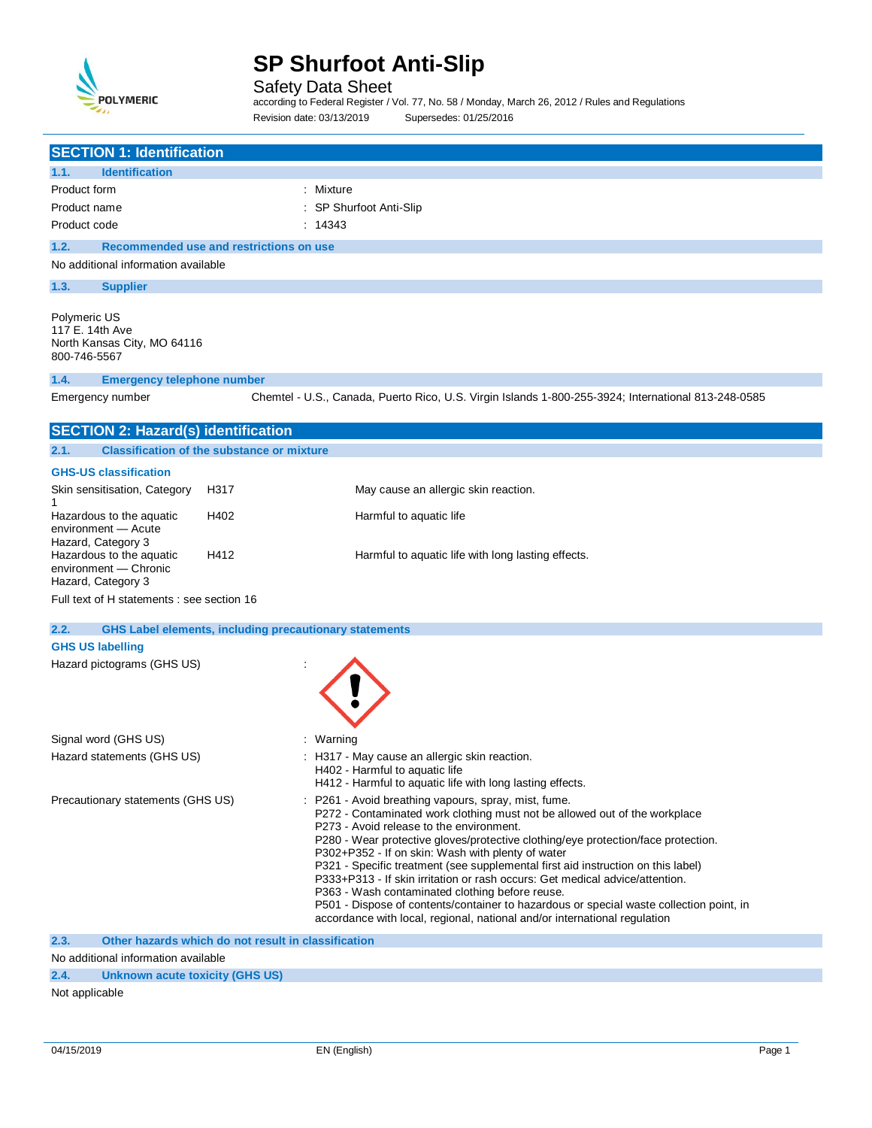

Safety Data Sheet

according to Federal Register / Vol. 77, No. 58 / Monday, March 26, 2012 / Rules and Regulations Revision date: 03/13/2019 Supersedes: 01/25/2016

| <b>SECTION 1: Identification</b>                                                              |                                                               |                                                                                                                                                                                                                                                                                                                                                                                                                                                                                                                                                                                                                                                                                                                       |
|-----------------------------------------------------------------------------------------------|---------------------------------------------------------------|-----------------------------------------------------------------------------------------------------------------------------------------------------------------------------------------------------------------------------------------------------------------------------------------------------------------------------------------------------------------------------------------------------------------------------------------------------------------------------------------------------------------------------------------------------------------------------------------------------------------------------------------------------------------------------------------------------------------------|
| <b>Identification</b><br>1.1.                                                                 |                                                               |                                                                                                                                                                                                                                                                                                                                                                                                                                                                                                                                                                                                                                                                                                                       |
| Product form                                                                                  |                                                               | : Mixture                                                                                                                                                                                                                                                                                                                                                                                                                                                                                                                                                                                                                                                                                                             |
| Product name                                                                                  |                                                               | SP Shurfoot Anti-Slip                                                                                                                                                                                                                                                                                                                                                                                                                                                                                                                                                                                                                                                                                                 |
| Product code                                                                                  |                                                               | : 14343                                                                                                                                                                                                                                                                                                                                                                                                                                                                                                                                                                                                                                                                                                               |
| 1.2.                                                                                          | Recommended use and restrictions on use                       |                                                                                                                                                                                                                                                                                                                                                                                                                                                                                                                                                                                                                                                                                                                       |
| No additional information available                                                           |                                                               |                                                                                                                                                                                                                                                                                                                                                                                                                                                                                                                                                                                                                                                                                                                       |
| 1.3.<br><b>Supplier</b>                                                                       |                                                               |                                                                                                                                                                                                                                                                                                                                                                                                                                                                                                                                                                                                                                                                                                                       |
| Polymeric US<br>117 E. 14th Ave<br>North Kansas City, MO 64116<br>800-746-5567                |                                                               |                                                                                                                                                                                                                                                                                                                                                                                                                                                                                                                                                                                                                                                                                                                       |
| 1.4.<br><b>Emergency telephone number</b>                                                     |                                                               |                                                                                                                                                                                                                                                                                                                                                                                                                                                                                                                                                                                                                                                                                                                       |
| Emergency number                                                                              |                                                               | Chemtel - U.S., Canada, Puerto Rico, U.S. Virgin Islands 1-800-255-3924; International 813-248-0585                                                                                                                                                                                                                                                                                                                                                                                                                                                                                                                                                                                                                   |
| <b>SECTION 2: Hazard(s) identification</b>                                                    |                                                               |                                                                                                                                                                                                                                                                                                                                                                                                                                                                                                                                                                                                                                                                                                                       |
| 2.1.                                                                                          | <b>Classification of the substance or mixture</b>             |                                                                                                                                                                                                                                                                                                                                                                                                                                                                                                                                                                                                                                                                                                                       |
| <b>GHS-US classification</b>                                                                  |                                                               |                                                                                                                                                                                                                                                                                                                                                                                                                                                                                                                                                                                                                                                                                                                       |
| Skin sensitisation, Category                                                                  | H317                                                          | May cause an allergic skin reaction.                                                                                                                                                                                                                                                                                                                                                                                                                                                                                                                                                                                                                                                                                  |
| 1                                                                                             |                                                               |                                                                                                                                                                                                                                                                                                                                                                                                                                                                                                                                                                                                                                                                                                                       |
| Hazardous to the aquatic<br>environment - Acute                                               | H402                                                          | Harmful to aquatic life                                                                                                                                                                                                                                                                                                                                                                                                                                                                                                                                                                                                                                                                                               |
| Hazard, Category 3<br>Hazardous to the aquatic<br>environment - Chronic<br>Hazard, Category 3 | H412                                                          | Harmful to aquatic life with long lasting effects.                                                                                                                                                                                                                                                                                                                                                                                                                                                                                                                                                                                                                                                                    |
| Full text of H statements : see section 16                                                    |                                                               |                                                                                                                                                                                                                                                                                                                                                                                                                                                                                                                                                                                                                                                                                                                       |
| 2.2.                                                                                          | <b>GHS Label elements, including precautionary statements</b> |                                                                                                                                                                                                                                                                                                                                                                                                                                                                                                                                                                                                                                                                                                                       |
| <b>GHS US labelling</b>                                                                       |                                                               |                                                                                                                                                                                                                                                                                                                                                                                                                                                                                                                                                                                                                                                                                                                       |
| Hazard pictograms (GHS US)                                                                    |                                                               |                                                                                                                                                                                                                                                                                                                                                                                                                                                                                                                                                                                                                                                                                                                       |
| Signal word (GHS US)                                                                          |                                                               | : Warning                                                                                                                                                                                                                                                                                                                                                                                                                                                                                                                                                                                                                                                                                                             |
| Hazard statements (GHS US)                                                                    |                                                               | : H317 - May cause an allergic skin reaction.<br>H402 - Harmful to aquatic life<br>H412 - Harmful to aquatic life with long lasting effects.                                                                                                                                                                                                                                                                                                                                                                                                                                                                                                                                                                          |
| Precautionary statements (GHS US)                                                             |                                                               | P261 - Avoid breathing vapours, spray, mist, fume.<br>P272 - Contaminated work clothing must not be allowed out of the workplace<br>P273 - Avoid release to the environment.<br>P280 - Wear protective gloves/protective clothing/eye protection/face protection.<br>P302+P352 - If on skin: Wash with plenty of water<br>P321 - Specific treatment (see supplemental first aid instruction on this label)<br>P333+P313 - If skin irritation or rash occurs: Get medical advice/attention.<br>P363 - Wash contaminated clothing before reuse.<br>P501 - Dispose of contents/container to hazardous or special waste collection point, in<br>accordance with local, regional, national and/or international regulation |
| 2.3.<br>Alo additional information available                                                  | Other hazards which do not result in classification           |                                                                                                                                                                                                                                                                                                                                                                                                                                                                                                                                                                                                                                                                                                                       |
|                                                                                               |                                                               |                                                                                                                                                                                                                                                                                                                                                                                                                                                                                                                                                                                                                                                                                                                       |

No additional information available **2.4. Unknown acute toxicity (GHS US)**

Not applicable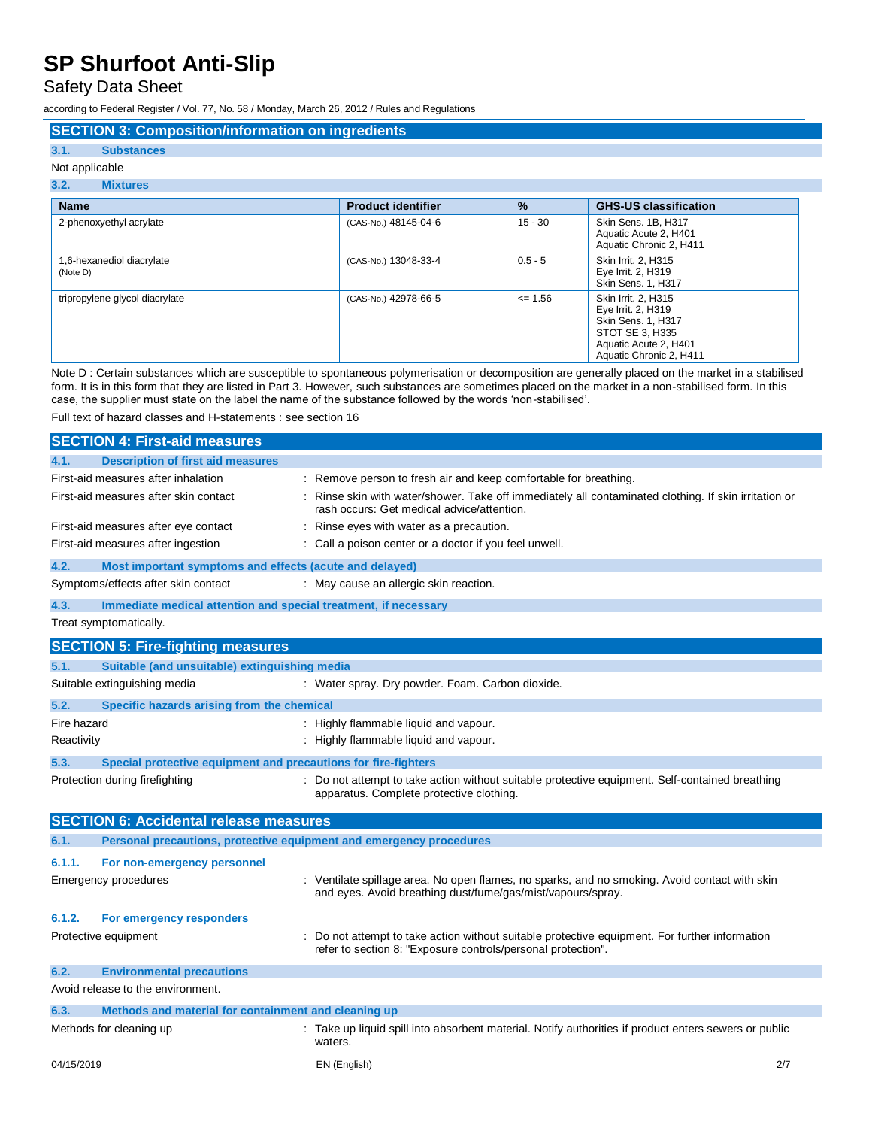Safety Data Sheet

according to Federal Register / Vol. 77, No. 58 / Monday, March 26, 2012 / Rules and Regulations

### **SECTION 3: Composition/information on ingredients**

### **3.1. Substances** Not applicable

## **3.2. Mixtures**

| <b>Name</b>                           | <b>Product identifier</b> | $\frac{9}{6}$ | <b>GHS-US classification</b>                                                                                                                  |
|---------------------------------------|---------------------------|---------------|-----------------------------------------------------------------------------------------------------------------------------------------------|
| 2-phenoxyethyl acrylate               | (CAS-No.) 48145-04-6      | $15 - 30$     | Skin Sens. 1B, H317<br>Aquatic Acute 2, H401<br>Aquatic Chronic 2, H411                                                                       |
| 1,6-hexanediol diacrylate<br>(Note D) | (CAS-No.) 13048-33-4      | $0.5 - 5$     | Skin Irrit. 2, H315<br>Eye Irrit. 2, H319<br><b>Skin Sens. 1, H317</b>                                                                        |
| tripropylene glycol diacrylate        | (CAS-No.) 42978-66-5      | $\leq$ 1.56   | Skin Irrit. 2. H315<br>Eye Irrit. 2, H319<br><b>Skin Sens. 1, H317</b><br>STOT SE 3, H335<br>Aquatic Acute 2, H401<br>Aquatic Chronic 2, H411 |

Note D : Certain substances which are susceptible to spontaneous polymerisation or decomposition are generally placed on the market in a stabilised form. It is in this form that they are listed in Part 3. However, such substances are sometimes placed on the market in a non-stabilised form. In this case, the supplier must state on the label the name of the substance followed by the words 'non-stabilised'.

Full text of hazard classes and H-statements : see section 16

|             | <b>SECTION 4: First-aid measures</b>                                |                                                                                                                                                              |
|-------------|---------------------------------------------------------------------|--------------------------------------------------------------------------------------------------------------------------------------------------------------|
| 4.1.        | <b>Description of first aid measures</b>                            |                                                                                                                                                              |
|             | First-aid measures after inhalation                                 | : Remove person to fresh air and keep comfortable for breathing.                                                                                             |
|             | First-aid measures after skin contact                               | Rinse skin with water/shower. Take off immediately all contaminated clothing. If skin irritation or<br>rash occurs: Get medical advice/attention.            |
|             | First-aid measures after eye contact                                | : Rinse eyes with water as a precaution.                                                                                                                     |
|             | First-aid measures after ingestion                                  | : Call a poison center or a doctor if you feel unwell.                                                                                                       |
| 4.2.        | Most important symptoms and effects (acute and delayed)             |                                                                                                                                                              |
|             | Symptoms/effects after skin contact                                 | : May cause an allergic skin reaction.                                                                                                                       |
| 4.3.        | Immediate medical attention and special treatment, if necessary     |                                                                                                                                                              |
|             | Treat symptomatically.                                              |                                                                                                                                                              |
|             | <b>SECTION 5: Fire-fighting measures</b>                            |                                                                                                                                                              |
| 5.1.        | Suitable (and unsuitable) extinguishing media                       |                                                                                                                                                              |
|             | Suitable extinguishing media                                        | : Water spray. Dry powder. Foam. Carbon dioxide.                                                                                                             |
| 5.2.        | Specific hazards arising from the chemical                          |                                                                                                                                                              |
| Fire hazard |                                                                     | : Highly flammable liquid and vapour.                                                                                                                        |
| Reactivity  |                                                                     | : Highly flammable liquid and vapour.                                                                                                                        |
| 5.3.        | Special protective equipment and precautions for fire-fighters      |                                                                                                                                                              |
|             | Protection during firefighting                                      | : Do not attempt to take action without suitable protective equipment. Self-contained breathing<br>apparatus. Complete protective clothing.                  |
|             | <b>SECTION 6: Accidental release measures</b>                       |                                                                                                                                                              |
| 6.1.        | Personal precautions, protective equipment and emergency procedures |                                                                                                                                                              |
| 6.1.1.      | For non-emergency personnel                                         |                                                                                                                                                              |
|             | Emergency procedures                                                | : Ventilate spillage area. No open flames, no sparks, and no smoking. Avoid contact with skin<br>and eyes. Avoid breathing dust/fume/gas/mist/vapours/spray. |
| 6.1.2.      | For emergency responders                                            |                                                                                                                                                              |
|             | Protective equipment                                                | Do not attempt to take action without suitable protective equipment. For further information<br>refer to section 8: "Exposure controls/personal protection". |
| 6.2.        | <b>Environmental precautions</b>                                    |                                                                                                                                                              |
|             | Avoid release to the environment.                                   |                                                                                                                                                              |
| 6.3.        | Methods and material for containment and cleaning up                |                                                                                                                                                              |
|             | Methods for cleaning up                                             | Take up liquid spill into absorbent material. Notify authorities if product enters sewers or public<br>waters.                                               |
| 04/15/2019  |                                                                     | 2/7<br>EN (English)                                                                                                                                          |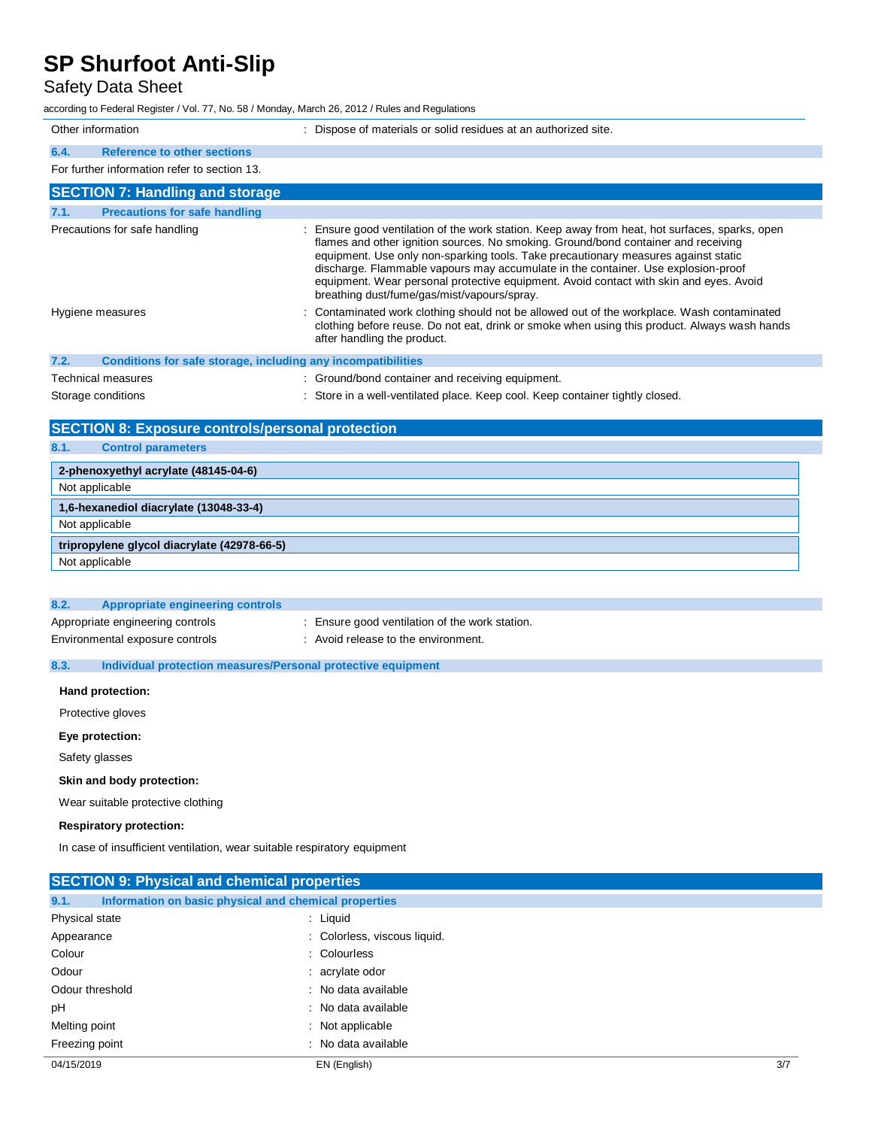## Safety Data Sheet

according to Federal Register / Vol. 77, No. 58 / Monday, March 26, 2012 / Rules and Regulations

| Other information                            | Dispose of materials or solid residues at an authorized site.                                                                                                                                                                                                                                                                                                                                                                                             |
|----------------------------------------------|-----------------------------------------------------------------------------------------------------------------------------------------------------------------------------------------------------------------------------------------------------------------------------------------------------------------------------------------------------------------------------------------------------------------------------------------------------------|
| <b>Reference to other sections</b><br>6.4.   |                                                                                                                                                                                                                                                                                                                                                                                                                                                           |
| For further information refer to section 13. |                                                                                                                                                                                                                                                                                                                                                                                                                                                           |
| <b>SECTION 7: Handling and storage</b>       |                                                                                                                                                                                                                                                                                                                                                                                                                                                           |
| <b>Precautions for safe handling</b><br>7.1. |                                                                                                                                                                                                                                                                                                                                                                                                                                                           |
| Precautions for safe handling                | : Ensure good ventilation of the work station. Keep away from heat, hot surfaces, sparks, open<br>flames and other ignition sources. No smoking. Ground/bond container and receiving<br>equipment. Use only non-sparking tools. Take precautionary measures against static<br>discharge. Flammable vapours may accumulate in the container. Use explosion-proof<br>equipment. Wear personal protective equipment. Avoid contact with skin and eyes. Avoid |

| Hygiene measures |  |  |  | breathing dust/fume/gas/mist/vapours/spray.<br>: Contaminated work clothing should not be allowed out of the workplace. Wash contaminated<br>clothing before reuse. Do not eat, drink or smoke when using this product. Always wash hands<br>after handling the product. |
|------------------|--|--|--|--------------------------------------------------------------------------------------------------------------------------------------------------------------------------------------------------------------------------------------------------------------------------|
|                  |  |  |  |                                                                                                                                                                                                                                                                          |

| 7.2. | Conditions for safe storage, including any incompatibilities |                                                                             |
|------|--------------------------------------------------------------|-----------------------------------------------------------------------------|
|      | Technical measures                                           | : Ground/bond container and receiving equipment.                            |
|      | Storage conditions                                           | Store in a well-ventilated place. Keep cool. Keep container tightly closed. |

|  |  | <b>SECTION 8: Exposure controls/personal protection</b> |  |  |
|--|--|---------------------------------------------------------|--|--|
|--|--|---------------------------------------------------------|--|--|

## **8.1. Control parameters**

| Appropriate engineering controls |                                              |
|----------------------------------|----------------------------------------------|
| Appropriate engineering controls | Ensure good ventilation of the work station. |
| Environmental exposure controls  | Avoid release to the environment.            |
|                                  |                                              |

### **8.3. Individual protection measures/Personal protective equipment**

**Hand protection:**

Protective gloves

#### **Eye protection:**

Safety glasses

#### **Skin and body protection:**

Wear suitable protective clothing

### **Respiratory protection:**

In case of insufficient ventilation, wear suitable respiratory equipment

|                | <b>SECTION 9: Physical and chemical properties</b>    |                              |     |  |  |
|----------------|-------------------------------------------------------|------------------------------|-----|--|--|
| 9.1.           | Information on basic physical and chemical properties |                              |     |  |  |
| Physical state |                                                       | : Liquid                     |     |  |  |
| Appearance     |                                                       | : Colorless, viscous liquid. |     |  |  |
| Colour         |                                                       | : Colourless                 |     |  |  |
| Odour          |                                                       | : acrylate odor              |     |  |  |
|                | Odour threshold                                       | : No data available          |     |  |  |
| рH             |                                                       | : No data available          |     |  |  |
| Melting point  |                                                       | : Not applicable             |     |  |  |
| Freezing point |                                                       | : No data available          |     |  |  |
| 04/15/2019     |                                                       | EN (English)                 | 3/7 |  |  |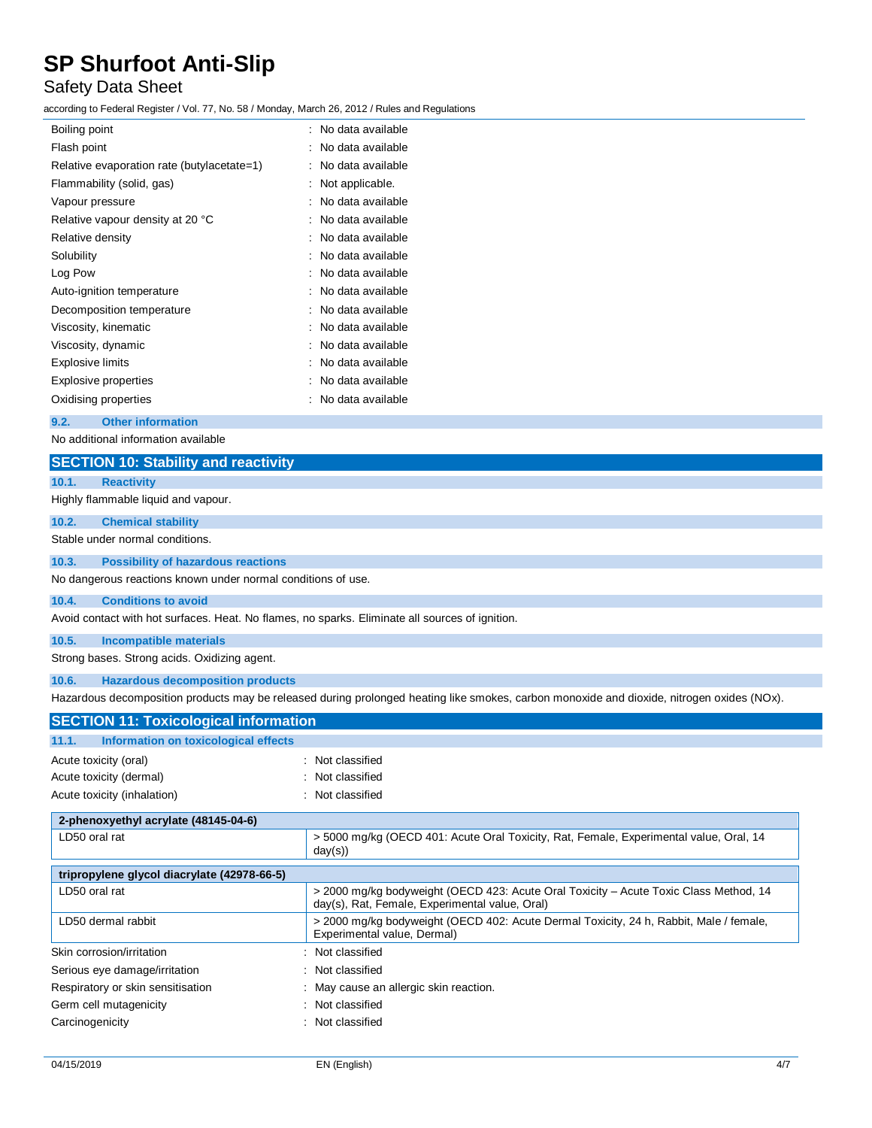## Safety Data Sheet

according to Federal Register / Vol. 77, No. 58 / Monday, March 26, 2012 / Rules and Regulations

| Boiling point                              | : No data available    |
|--------------------------------------------|------------------------|
| Flash point                                | No data available      |
| Relative evaporation rate (butylacetate=1) | No data available      |
| Flammability (solid, gas)                  | Not applicable.        |
| Vapour pressure                            | No data available      |
| Relative vapour density at 20 °C           | No data available      |
| Relative density                           | No data available      |
| Solubility                                 | No data available      |
| Log Pow                                    | No data available      |
| Auto-ignition temperature                  | No data available      |
| Decomposition temperature                  | No data available<br>٠ |
| Viscosity, kinematic                       | No data available      |
| Viscosity, dynamic                         | No data available      |
| <b>Explosive limits</b>                    | No data available      |
| Explosive properties                       | No data available      |
| Oxidising properties                       | No data available      |
|                                            |                        |

**9.2. Other information**

No additional information available

| <b>SECTION 10: Stability and reactivity</b>                                                     |                                                                                                                                            |
|-------------------------------------------------------------------------------------------------|--------------------------------------------------------------------------------------------------------------------------------------------|
| 10.1.<br><b>Reactivity</b>                                                                      |                                                                                                                                            |
| Highly flammable liquid and vapour.                                                             |                                                                                                                                            |
| 10.2.<br><b>Chemical stability</b>                                                              |                                                                                                                                            |
| Stable under normal conditions.                                                                 |                                                                                                                                            |
| 10.3.<br><b>Possibility of hazardous reactions</b>                                              |                                                                                                                                            |
| No dangerous reactions known under normal conditions of use.                                    |                                                                                                                                            |
| 10.4.<br><b>Conditions to avoid</b>                                                             |                                                                                                                                            |
| Avoid contact with hot surfaces. Heat. No flames, no sparks. Eliminate all sources of ignition. |                                                                                                                                            |
| 10.5.<br><b>Incompatible materials</b>                                                          |                                                                                                                                            |
| Strong bases. Strong acids. Oxidizing agent.                                                    |                                                                                                                                            |
| <b>Hazardous decomposition products</b><br>10.6.                                                |                                                                                                                                            |
|                                                                                                 | Hazardous decomposition products may be released during prolonged heating like smokes, carbon monoxide and dioxide, nitrogen oxides (NOx). |
| <b>SECTION 11: Toxicological information</b>                                                    |                                                                                                                                            |
| Information on toxicological effects<br>11.1.                                                   |                                                                                                                                            |
| Acute toxicity (oral)                                                                           | : Not classified                                                                                                                           |
| Acute toxicity (dermal)                                                                         | Not classified                                                                                                                             |
| Acute toxicity (inhalation)                                                                     | : Not classified                                                                                                                           |
| 2-phenoxyethyl acrylate (48145-04-6)                                                            |                                                                                                                                            |
| LD50 oral rat                                                                                   | > 5000 mg/kg (OECD 401: Acute Oral Toxicity, Rat, Female, Experimental value, Oral, 14<br>day(s)                                           |
| tripropylene glycol diacrylate (42978-66-5)                                                     |                                                                                                                                            |
| LD50 oral rat                                                                                   | > 2000 mg/kg bodyweight (OECD 423: Acute Oral Toxicity - Acute Toxic Class Method, 14<br>day(s), Rat, Female, Experimental value, Oral)    |
| LD50 dermal rabbit                                                                              | > 2000 mg/kg bodyweight (OECD 402: Acute Dermal Toxicity, 24 h, Rabbit, Male / female,<br>Experimental value, Dermal)                      |
| Skin corrosion/irritation                                                                       | : Not classified                                                                                                                           |
| Serious eye damage/irritation                                                                   | Not classified                                                                                                                             |
| Respiratory or skin sensitisation                                                               | May cause an allergic skin reaction.                                                                                                       |
| Germ cell mutagenicity                                                                          | Not classified                                                                                                                             |
| Carcinogenicity                                                                                 | Not classified                                                                                                                             |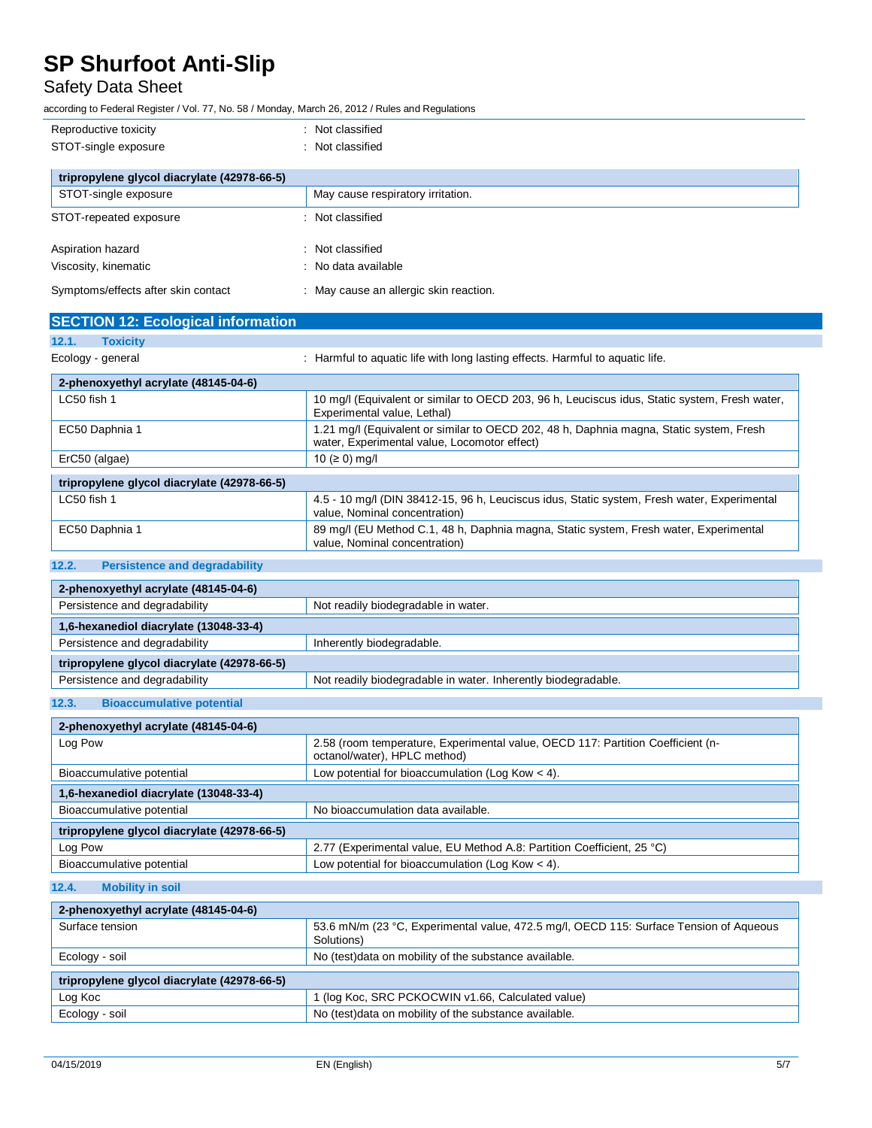## Safety Data Sheet

according to Federal Register / Vol. 77, No. 58 / Monday, March 26, 2012 / Rules and Regulations

| Reproductive toxicity                       | Not classified<br>÷                    |
|---------------------------------------------|----------------------------------------|
| STOT-single exposure                        | Not classified<br>÷                    |
|                                             |                                        |
| tripropylene glycol diacrylate (42978-66-5) |                                        |
| STOT-single exposure                        | May cause respiratory irritation.      |
| STOT-repeated exposure                      | : Not classified                       |
| Aspiration hazard                           | : Not classified                       |
| Viscosity, kinematic                        | : No data available                    |
| Symptoms/effects after skin contact         | : May cause an allergic skin reaction. |

| <b>SECTION 12: Ecological information</b> |                                                                                                                                         |  |  |
|-------------------------------------------|-----------------------------------------------------------------------------------------------------------------------------------------|--|--|
| 12.1.<br><b>Toxicity</b>                  |                                                                                                                                         |  |  |
| Ecology - general                         | : Harmful to aguatic life with long lasting effects. Harmful to aguatic life.                                                           |  |  |
| 2-phenoxyethyl acrylate (48145-04-6)      |                                                                                                                                         |  |  |
| $LC50$ fish 1                             | 10 mg/l (Equivalent or similar to OECD 203, 96 h, Leuciscus idus, Static system, Fresh water,<br>Experimental value, Lethal)            |  |  |
| EC50 Daphnia 1                            | 1.21 mg/l (Equivalent or similar to OECD 202, 48 h, Daphnia magna, Static system, Fresh<br>water, Experimental value, Locomotor effect) |  |  |

| ErC50 (algae)                               | 10 (≥ 0) mg/l                                                                                                                |
|---------------------------------------------|------------------------------------------------------------------------------------------------------------------------------|
|                                             |                                                                                                                              |
| tripropylene glycol diacrylate (42978-66-5) |                                                                                                                              |
| LC50 fish 1                                 | 4.5 - 10 mg/l (DIN 38412-15, 96 h, Leuciscus idus, Static system, Fresh water, Experimental<br>value, Nominal concentration) |
| EC50 Daphnia 1                              | 89 mg/l (EU Method C.1, 48 h, Daphnia magna, Static system, Fresh water, Experimental<br>value, Nominal concentration)       |

## **12.2. Persistence and degradability**

| 2-phenoxyethyl acrylate (48145-04-6)        |                                                               |
|---------------------------------------------|---------------------------------------------------------------|
| Persistence and degradability               | Not readily biodegradable in water.                           |
| 1,6-hexanediol diacrylate (13048-33-4)      |                                                               |
| Persistence and degradability               | Inherently biodegradable.                                     |
| tripropylene glycol diacrylate (42978-66-5) |                                                               |
| Persistence and degradability               | Not readily biodegradable in water. Inherently biodegradable. |

### **12.3. Bioaccumulative potential**

| 2-phenoxyethyl acrylate (48145-04-6)        |                                                                                                                 |
|---------------------------------------------|-----------------------------------------------------------------------------------------------------------------|
| Log Pow                                     | 2.58 (room temperature, Experimental value, OECD 117: Partition Coefficient (n-<br>octanol/water), HPLC method) |
| Bioaccumulative potential                   | Low potential for bioaccumulation (Log Kow $<$ 4).                                                              |
| 1,6-hexanediol diacrylate (13048-33-4)      |                                                                                                                 |
| Bioaccumulative potential                   | No bioaccumulation data available.                                                                              |
| tripropylene glycol diacrylate (42978-66-5) |                                                                                                                 |
| Log Pow                                     | 2.77 (Experimental value, EU Method A.8: Partition Coefficient, 25 °C)                                          |
| Bioaccumulative potential                   | Low potential for bioaccumulation (Log Kow $<$ 4).                                                              |

### **12.4. Mobility in soil**

| 2-phenoxyethyl acrylate (48145-04-6)        |                                                                                                      |  |
|---------------------------------------------|------------------------------------------------------------------------------------------------------|--|
| Surface tension                             | 53.6 mN/m (23 °C, Experimental value, 472.5 mg/l, OECD 115: Surface Tension of Aqueous<br>Solutions) |  |
| Ecology - soil                              | No (test) data on mobility of the substance available.                                               |  |
| tripropylene glycol diacrylate (42978-66-5) |                                                                                                      |  |
| Log Koc                                     | 1 (log Koc, SRC PCKOCWIN v1.66, Calculated value)                                                    |  |
| Ecology - soil                              | No (test)data on mobility of the substance available.                                                |  |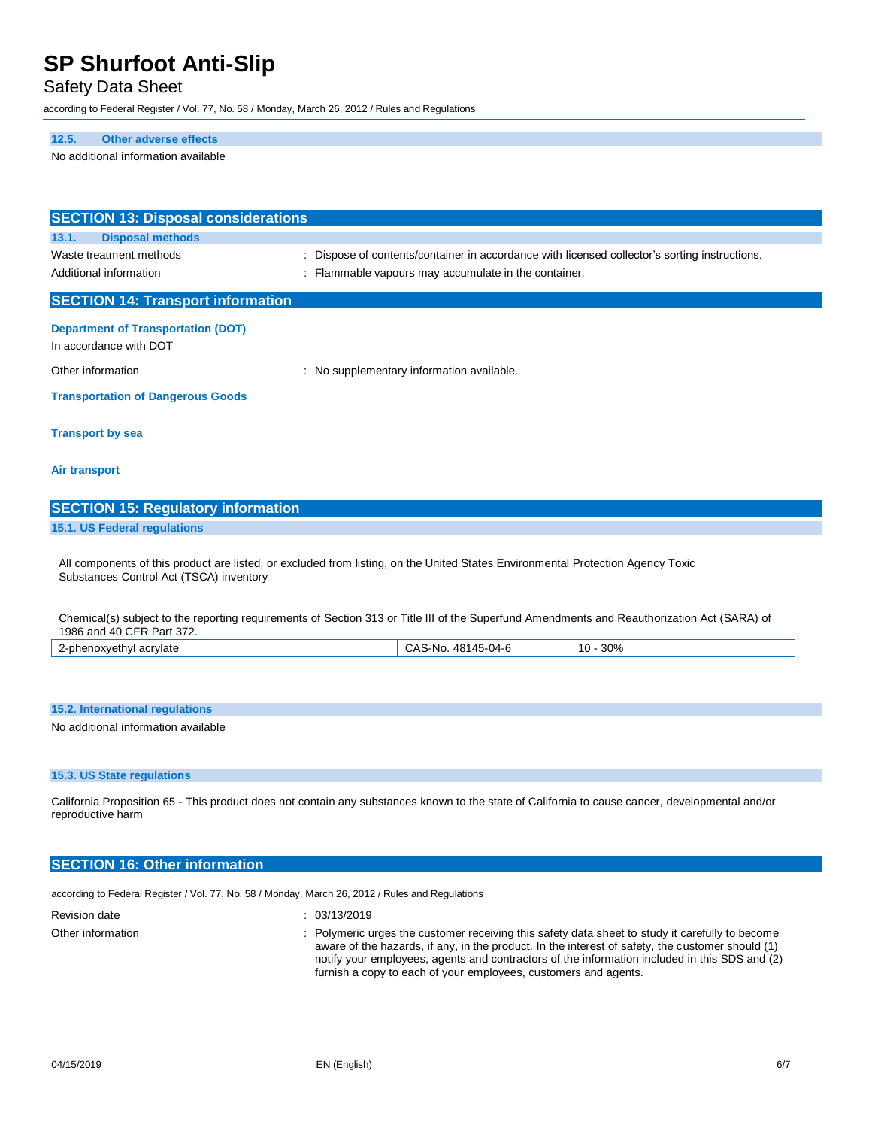### Safety Data Sheet

according to Federal Register / Vol. 77, No. 58 / Monday, March 26, 2012 / Rules and Regulations

## **12.5. Other adverse effects**

No additional information available

| <b>SECTION 13: Disposal considerations</b> |                                                                                                                                             |
|--------------------------------------------|---------------------------------------------------------------------------------------------------------------------------------------------|
| <b>Disposal methods</b><br>13.1.           |                                                                                                                                             |
| Waste treatment methods                    | Dispose of contents/container in accordance with licensed collector's sorting instructions.                                                 |
| Additional information                     | Flammable vapours may accumulate in the container.                                                                                          |
| <b>SECTION 14: Transport information</b>   |                                                                                                                                             |
| <b>Department of Transportation (DOT)</b>  |                                                                                                                                             |
| In accordance with DOT                     |                                                                                                                                             |
| Other information                          | : No supplementary information available.                                                                                                   |
| <b>Transportation of Dangerous Goods</b>   |                                                                                                                                             |
| <b>Transport by sea</b>                    |                                                                                                                                             |
| Air transport                              |                                                                                                                                             |
| <b>SECTION 15: Regulatory information</b>  |                                                                                                                                             |
| 15.1. US Federal regulations               |                                                                                                                                             |
| Substances Control Act (TSCA) inventory    | All components of this product are listed, or excluded from listing, on the United States Environmental Protection Agency Toxic             |
| 1986 and 40 CFR Part 372.                  | Chemical(s) subject to the reporting requirements of Section 313 or Title III of the Superfund Amendments and Reauthorization Act (SARA) of |
| 2-phenoxyethyl acrylate                    | CAS-No. 48145-04-6<br>$10 - 30%$                                                                                                            |
|                                            |                                                                                                                                             |
|                                            |                                                                                                                                             |
| 15.2. International regulations            |                                                                                                                                             |
| No additional information available        |                                                                                                                                             |

### **15.3. US State regulations**

California Proposition 65 - This product does not contain any substances known to the state of California to cause cancer, developmental and/or reproductive harm

### **SECTION 16: Other information**

according to Federal Register / Vol. 77, No. 58 / Monday, March 26, 2012 / Rules and Regulations

Revision date : 03/13/2019

Other information **interval in the customer information** : Polymeric urges the customer receiving this safety data sheet to study it carefully to become aware of the hazards, if any, in the product. In the interest of safety, the customer should (1) notify your employees, agents and contractors of the information included in this SDS and (2) furnish a copy to each of your employees, customers and agents.